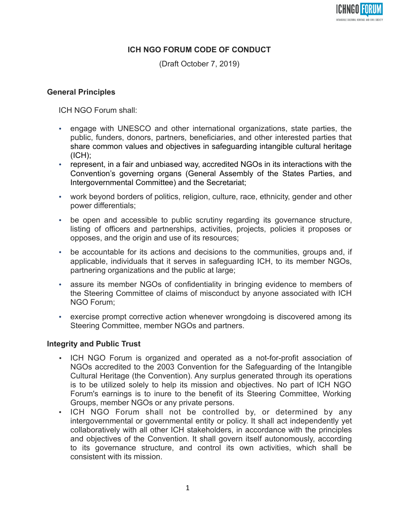

# **ICH NGO FORUM CODE OF CONDUCT**

(Draft October 7, 2019)

#### **General Principles**

ICH NGO Forum shall:

- engage with UNESCO and other international organizations, state parties, the public, funders, donors, partners, beneficiaries, and other interested parties that share common values and objectives in safeguarding intangible cultural heritage (ICH);
- represent, in a fair and unbiased way, accredited NGOs in its interactions with the Convention's governing organs (General Assembly of the States Parties, and Intergovernmental Committee) and the Secretariat;
- work beyond borders of politics, religion, culture, race, ethnicity, gender and other power differentials;
- be open and accessible to public scrutiny regarding its governance structure, listing of officers and partnerships, activities, projects, policies it proposes or opposes, and the origin and use of its resources;
- be accountable for its actions and decisions to the communities, groups and, if applicable, individuals that it serves in safeguarding ICH, to its member NGOs, partnering organizations and the public at large;
- assure its member NGOs of confidentiality in bringing evidence to members of the Steering Committee of claims of misconduct by anyone associated with ICH NGO Forum;
- exercise prompt corrective action whenever wrongdoing is discovered among its Steering Committee, member NGOs and partners.

#### **Integrity and Public Trust**

- ICH NGO Forum is organized and operated as a not-for-profit association of NGOs accredited to the 2003 Convention for the Safeguarding of the Intangible Cultural Heritage (the Convention). Any surplus generated through its operations is to be utilized solely to help its mission and objectives. No part of ICH NGO Forum's earnings is to inure to the benefit of its Steering Committee, Working Groups, member NGOs or any private persons.
- ICH NGO Forum shall not be controlled by, or determined by any intergovernmental or governmental entity or policy. It shall act independently yet collaboratively with all other ICH stakeholders, in accordance with the principles and objectives of the Convention. It shall govern itself autonomously, according to its governance structure, and control its own activities, which shall be consistent with its mission.